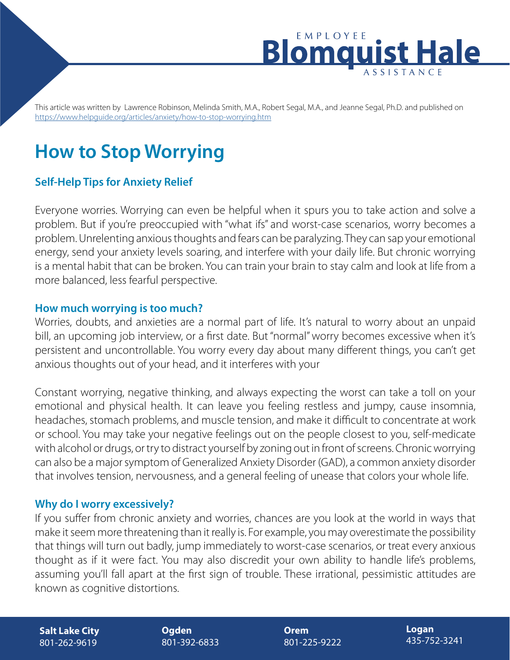

This article was written by Lawrence Robinson, Melinda Smith, M.A., Robert Segal, M.A., and Jeanne Segal, Ph.D. and published on <https://www.helpguide.org/articles/anxiety/how-to-stop-worrying.htm>

# **How to Stop Worrying**

## **Self-Help Tips for Anxiety Relief**

Everyone worries. Worrying can even be helpful when it spurs you to take action and solve a problem. But if you're preoccupied with "what ifs" and worst-case scenarios, worry becomes a problem. Unrelenting anxious thoughts and fears can be paralyzing. They can sap your emotional energy, send your anxiety levels soaring, and interfere with your daily life. But chronic worrying is a mental habit that can be broken. You can train your brain to stay calm and look at life from a more balanced, less fearful perspective.

#### **How much worrying is too much?**

Worries, doubts, and anxieties are a normal part of life. It's natural to worry about an unpaid bill, an upcoming job interview, or a first date. But "normal" worry becomes excessive when it's persistent and uncontrollable. You worry every day about many different things, you can't get anxious thoughts out of your head, and it interferes with your

Constant worrying, negative thinking, and always expecting the worst can take a toll on your emotional and physical health. It can leave you feeling restless and jumpy, cause insomnia, headaches, stomach problems, and muscle tension, and make it difficult to concentrate at work or school. You may take your negative feelings out on the people closest to you, self-medicate with alcohol or drugs, or try to distract yourself by zoning out in front of screens. Chronic worrying can also be a major symptom of Generalized Anxiety Disorder (GAD), a common anxiety disorder that involves tension, nervousness, and a general feeling of unease that colors your whole life.

#### **Why do I worry excessively?**

If you suffer from chronic anxiety and worries, chances are you look at the world in ways that make it seem more threatening than it really is. For example, you may overestimate the possibility that things will turn out badly, jump immediately to worst-case scenarios, or treat every anxious thought as if it were fact. You may also discredit your own ability to handle life's problems, assuming you'll fall apart at the first sign of trouble. These irrational, pessimistic attitudes are known as cognitive distortions.

**Salt Lake City** 801-262-9619

**Ogden** 801-392-6833 **Orem** 801-225-9222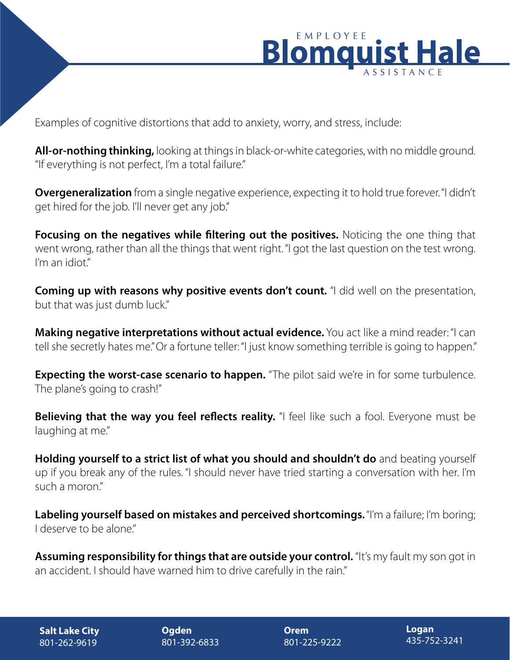

Examples of cognitive distortions that add to anxiety, worry, and stress, include:

**All-or-nothing thinking,** looking at things in black-or-white categories, with no middle ground. "If everything is not perfect, I'm a total failure."

**Overgeneralization** from a single negative experience, expecting it to hold true forever. "I didn't get hired for the job. I'll never get any job."

**Focusing on the negatives while filtering out the positives.** Noticing the one thing that went wrong, rather than all the things that went right. "I got the last question on the test wrong. I'm an idiot"

**Coming up with reasons why positive events don't count.** "I did well on the presentation, but that was just dumb luck."

**Making negative interpretations without actual evidence.** You act like a mind reader: "I can tell she secretly hates me." Or a fortune teller: "I just know something terrible is going to happen."

**Expecting the worst-case scenario to happen.** "The pilot said we're in for some turbulence. The plane's going to crash!"

**Believing that the way you feel reflects reality.** "I feel like such a fool. Everyone must be laughing at me."

**Holding yourself to a strict list of what you should and shouldn't do** and beating yourself up if you break any of the rules. "I should never have tried starting a conversation with her. I'm such a moron."

**Labeling yourself based on mistakes and perceived shortcomings.** "I'm a failure; I'm boring; I deserve to be alone."

Assuming responsibility for things that are outside your control. "It's my fault my son got in an accident. I should have warned him to drive carefully in the rain."

**Salt Lake City** 801-262-9619

**Ogden** 801-392-6833 **Orem** 801-225-9222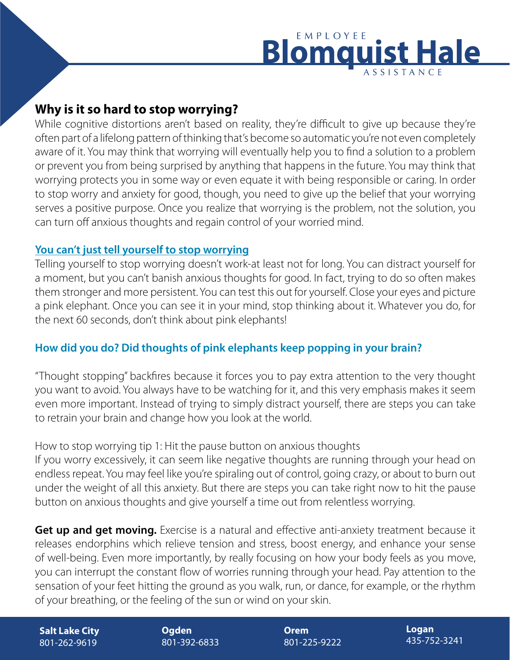# EMPLOYEE **Blomqu Hale**

# **Why is it so hard to stop worrying?**

While cognitive distortions aren't based on reality, they're difficult to give up because they're often part of a lifelong pattern of thinking that's become so automatic you're not even completely aware of it. You may think that worrying will eventually help you to find a solution to a problem or prevent you from being surprised by anything that happens in the future. You may think that worrying protects you in some way or even equate it with being responsible or caring. In order to stop worry and anxiety for good, though, you need to give up the belief that your worrying serves a positive purpose. Once you realize that worrying is the problem, not the solution, you can turn off anxious thoughts and regain control of your worried mind.

## **You can't just tell yourself to stop worrying**

Telling yourself to stop worrying doesn't work-at least not for long. You can distract yourself for a moment, but you can't banish anxious thoughts for good. In fact, trying to do so often makes them stronger and more persistent. You can test this out for yourself. Close your eyes and picture a pink elephant. Once you can see it in your mind, stop thinking about it. Whatever you do, for the next 60 seconds, don't think about pink elephants!

## **How did you do? Did thoughts of pink elephants keep popping in your brain?**

"Thought stopping" backfires because it forces you to pay extra attention to the very thought you want to avoid. You always have to be watching for it, and this very emphasis makes it seem even more important. Instead of trying to simply distract yourself, there are steps you can take to retrain your brain and change how you look at the world.

## How to stop worrying tip 1: Hit the pause button on anxious thoughts

If you worry excessively, it can seem like negative thoughts are running through your head on endless repeat. You may feel like you're spiraling out of control, going crazy, or about to burn out under the weight of all this anxiety. But there are steps you can take right now to hit the pause button on anxious thoughts and give yourself a time out from relentless worrying.

**Get up and get moving.** Exercise is a natural and effective anti-anxiety treatment because it releases endorphins which relieve tension and stress, boost energy, and enhance your sense of well-being. Even more importantly, by really focusing on how your body feels as you move, you can interrupt the constant flow of worries running through your head. Pay attention to the sensation of your feet hitting the ground as you walk, run, or dance, for example, or the rhythm of your breathing, or the feeling of the sun or wind on your skin.

**Salt Lake City** 801-262-9619

**Ogden** 801-392-6833 **Orem** 801-225-9222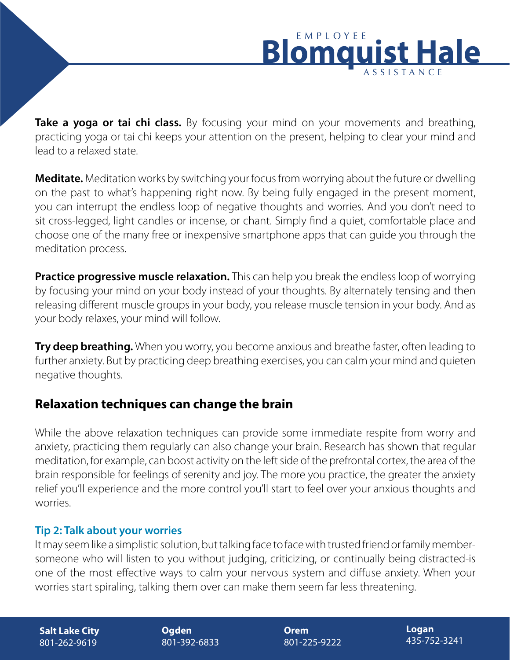

**Take a yoga or tai chi class.** By focusing your mind on your movements and breathing, practicing yoga or tai chi keeps your attention on the present, helping to clear your mind and lead to a relaxed state.

**Meditate.** Meditation works by switching your focus from worrying about the future or dwelling on the past to what's happening right now. By being fully engaged in the present moment, you can interrupt the endless loop of negative thoughts and worries. And you don't need to sit cross-legged, light candles or incense, or chant. Simply find a quiet, comfortable place and choose one of the many free or inexpensive smartphone apps that can guide you through the meditation process.

**Practice progressive muscle relaxation.** This can help you break the endless loop of worrying by focusing your mind on your body instead of your thoughts. By alternately tensing and then releasing different muscle groups in your body, you release muscle tension in your body. And as your body relaxes, your mind will follow.

**Try deep breathing.** When you worry, you become anxious and breathe faster, often leading to further anxiety. But by practicing deep breathing exercises, you can calm your mind and quieten negative thoughts.

## **Relaxation techniques can change the brain**

While the above relaxation techniques can provide some immediate respite from worry and anxiety, practicing them regularly can also change your brain. Research has shown that regular meditation, for example, can boost activity on the left side of the prefrontal cortex, the area of the brain responsible for feelings of serenity and joy. The more you practice, the greater the anxiety relief you'll experience and the more control you'll start to feel over your anxious thoughts and worries.

## **Tip 2: Talk about your worries**

It may seem like a simplistic solution, but talking face to face with trusted friend or family membersomeone who will listen to you without judging, criticizing, or continually being distracted-is one of the most effective ways to calm your nervous system and diffuse anxiety. When your worries start spiraling, talking them over can make them seem far less threatening.

**Salt Lake City** 801-262-9619

**Ogden** 801-392-6833 **Orem** 801-225-9222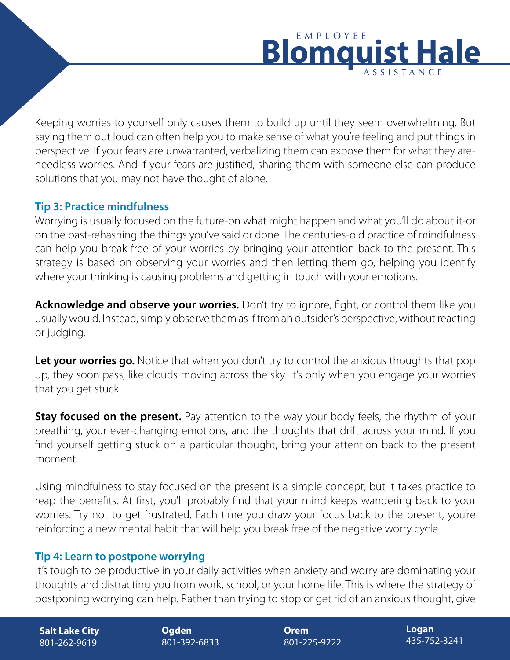## EMPLOYEE Blomar lale

Keeping worries to yourself only causes them to build up until they seem overwhelming. But saying them out loud can often help you to make sense of what you're feeling and put things in perspective. If your fears are unwarranted, verbalizing them can expose them for what they areneedless worries. And if your fears are justified, sharing them with someone else can produce solutions that you may not have thought of alone.

## **Tip 3: Practice mindfulness**

Worrying is usually focused on the future-on what might happen and what you'll do about it-or on the past-rehashing the things you've said or done. The centuries-old practice of mindfulness can help you break free of your worries by bringing your attention back to the present. This strategy is based on observing your worries and then letting them go, helping you identify where your thinking is causing problems and getting in touch with your emotions.

**Acknowledge and observe your worries.** Don't try to ignore, fight, or control them like you usually would. Instead, simply observe them as if from an outsider's perspective, without reacting or judging.

Let your worries go. Notice that when you don't try to control the anxious thoughts that pop up, they soon pass, like clouds moving across the sky. It's only when you engage your worries that you get stuck.

**Stay focused on the present.** Pay attention to the way your body feels, the rhythm of your breathing, your ever-changing emotions, and the thoughts that drift across your mind. If you find yourself getting stuck on a particular thought, bring your attention back to the present moment.

Using mindfulness to stay focused on the present is a simple concept, but it takes practice to reap the benefits. At first, you'll probably find that your mind keeps wandering back to your worries. Try not to get frustrated. Each time you draw your focus back to the present, you're reinforcing a new mental habit that will help you break free of the negative worry cycle.

## **Tip 4: Learn to postpone worrying**

It's tough to be productive in your daily activities when anxiety and worry are dominating your thoughts and distracting you from work, school, or your home life. This is where the strategy of postponing worrying can help. Rather than trying to stop or get rid of an anxious thought, give

**Salt Lake City** 801-262-9619

**Ogden** 801-392-6833 **Orem** 801-225-9222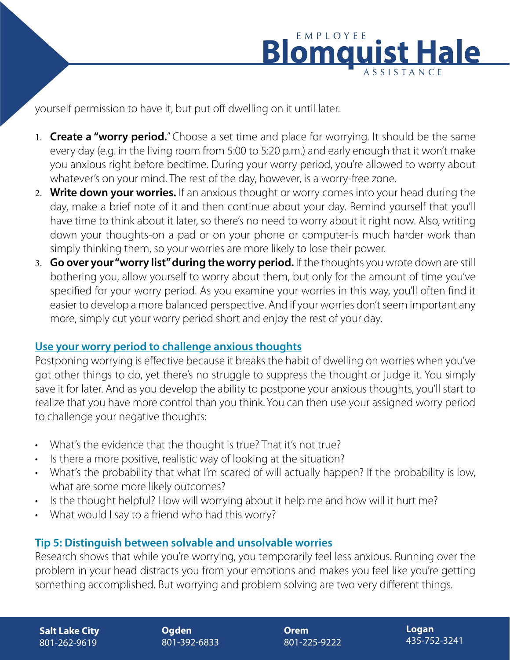

yourself permission to have it, but put off dwelling on it until later.

- 1. **Create a "worry period.**" Choose a set time and place for worrying. It should be the same every day (e.g. in the living room from 5:00 to 5:20 p.m.) and early enough that it won't make you anxious right before bedtime. During your worry period, you're allowed to worry about whatever's on your mind. The rest of the day, however, is a worry-free zone.
- 2. **Write down your worries.** If an anxious thought or worry comes into your head during the day, make a brief note of it and then continue about your day. Remind yourself that you'll have time to think about it later, so there's no need to worry about it right now. Also, writing down your thoughts-on a pad or on your phone or computer-is much harder work than simply thinking them, so your worries are more likely to lose their power.
- 3. **Go over your "worry list" during the worry period.** If the thoughts you wrote down are still bothering you, allow yourself to worry about them, but only for the amount of time you've specified for your worry period. As you examine your worries in this way, you'll often find it easier to develop a more balanced perspective. And if your worries don't seem important any more, simply cut your worry period short and enjoy the rest of your day.

## **Use your worry period to challenge anxious thoughts**

Postponing worrying is effective because it breaks the habit of dwelling on worries when you've got other things to do, yet there's no struggle to suppress the thought or judge it. You simply save it for later. And as you develop the ability to postpone your anxious thoughts, you'll start to realize that you have more control than you think. You can then use your assigned worry period to challenge your negative thoughts:

- What's the evidence that the thought is true? That it's not true?
- Is there a more positive, realistic way of looking at the situation?
- What's the probability that what I'm scared of will actually happen? If the probability is low, what are some more likely outcomes?
- Is the thought helpful? How will worrying about it help me and how will it hurt me?
- What would I say to a friend who had this worry?

## **Tip 5: Distinguish between solvable and unsolvable worries**

Research shows that while you're worrying, you temporarily feel less anxious. Running over the problem in your head distracts you from your emotions and makes you feel like you're getting something accomplished. But worrying and problem solving are two very different things.

**Ogden** 801-392-6833 **Orem** 801-225-9222